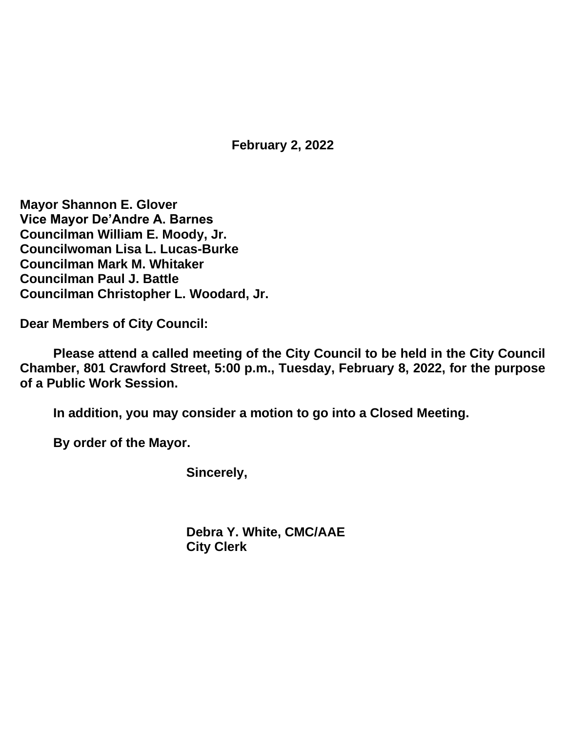**February 2, 2022**

**Mayor Shannon E. Glover Vice Mayor De'Andre A. Barnes Councilman William E. Moody, Jr. Councilwoman Lisa L. Lucas-Burke Councilman Mark M. Whitaker Councilman Paul J. Battle Councilman Christopher L. Woodard, Jr.**

**Dear Members of City Council:**

**Please attend a called meeting of the City Council to be held in the City Council Chamber, 801 Crawford Street, 5:00 p.m., Tuesday, February 8, 2022, for the purpose of a Public Work Session.**

**In addition, you may consider a motion to go into a Closed Meeting.**

**By order of the Mayor.**

**Sincerely,**

**Debra Y. White, CMC/AAE City Clerk**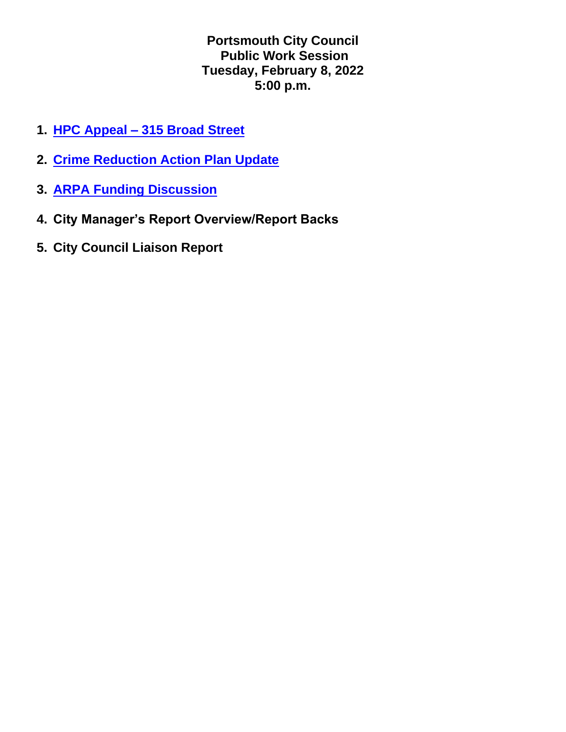**Portsmouth City Council Public Work Session Tuesday, February 8, 2022 5:00 p.m.**

- **1. HPC Appeal – [315 Broad Street](https://www.portsmouthva.gov/DocumentCenter/View/11831/22-33-HPC-Appeal-315-Broad-Street)**
- **2. [Crime Reduction Action Plan Update](https://www.portsmouthva.gov/DocumentCenter/View/11918/final-Crime-Prevention-Updates282022)**
- **3. [ARPA Funding Discussion](https://www.portsmouthva.gov/DocumentCenter/View/11916/ARPA-approved-Categories-2-8-2022)**
- **4. City Manager's Report Overview/Report Backs**
- **5. City Council Liaison Report**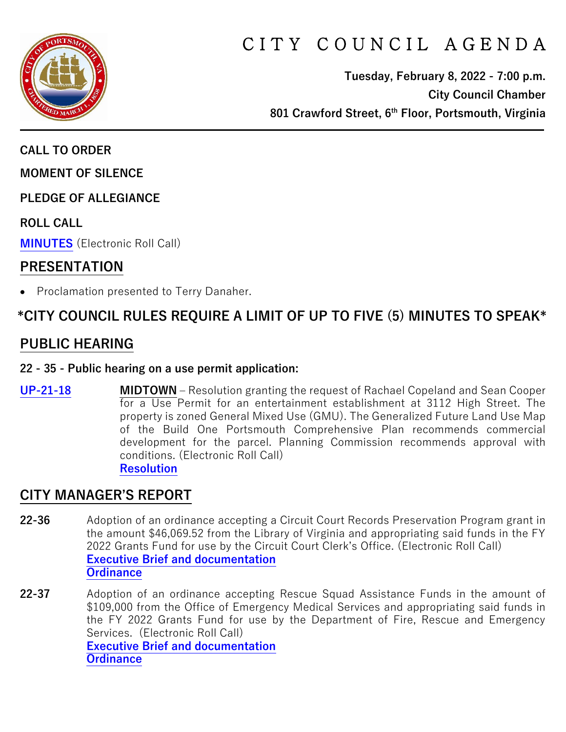

# CITY COUNCIL AGENDA

**Tuesday, February 8, 2022 - 7:00 p.m. City Council Chamber 801 Crawford Street, 6th Floor, Portsmouth, Virginia**

**CALL TO ORDER**

**MOMENT OF SILENCE**

**PLEDGE OF ALLEGIANCE** 

**ROLL CALL**

**[MINUTES](https://www.portsmouthva.gov/DocumentCenter/View/11841/City-Council-Minutes)** (Electronic Roll Call)

### **PRESENTATION**

• Proclamation presented to Terry Danaher.

# **\*CITY COUNCIL RULES REQUIRE A LIMIT OF UP TO FIVE (5) MINUTES TO SPEAK\***

# **PUBLIC HEARING**

#### **22 - 35 - Public hearing on a use permit application:**

**[UP-21-18](https://www.portsmouthva.gov/DocumentCenter/View/11832/22-35-Public-hearing) MIDTOWN –** Resolution granting the request of Rachael Copeland and Sean Cooper for a Use Permit for an entertainment establishment at 3112 High Street. The property is zoned General Mixed Use (GMU). The Generalized Future Land Use Map of the Build One Portsmouth Comprehensive Plan recommends commercial development for the parcel. Planning Commission recommends approval with conditions. (Electronic Roll Call) **[Resolution](https://www.portsmouthva.gov/DocumentCenter/View/11833/22-35-Resolution)**

# **CITY MANAGER'S REPORT**

- **22-36** Adoption of an ordinance accepting a Circuit Court Records Preservation Program grant in the amount \$46,069.52 from the Library of Virginia and appropriating said funds in the FY 2022 Grants Fund for use by the Circuit Court Clerk's Office. (Electronic Roll Call) **[Executive Brief and documentation](https://www.portsmouthva.gov/DocumentCenter/View/11834/22-36-CMR-and-documentation) [Ordinance](https://www.portsmouthva.gov/DocumentCenter/View/11835/22-36-Ordinance)**
- **22-37** Adoption of an ordinance accepting Rescue Squad Assistance Funds in the amount of \$109,000 from the Office of Emergency Medical Services and appropriating said funds in the FY 2022 Grants Fund for use by the Department of Fire, Rescue and Emergency Services. (Electronic Roll Call) **[Executive Brief and documentation](https://www.portsmouthva.gov/DocumentCenter/View/11836/22-37-CMR-and-documentation) [Ordinance](https://www.portsmouthva.gov/DocumentCenter/View/11837/22-37-Ordinance)**